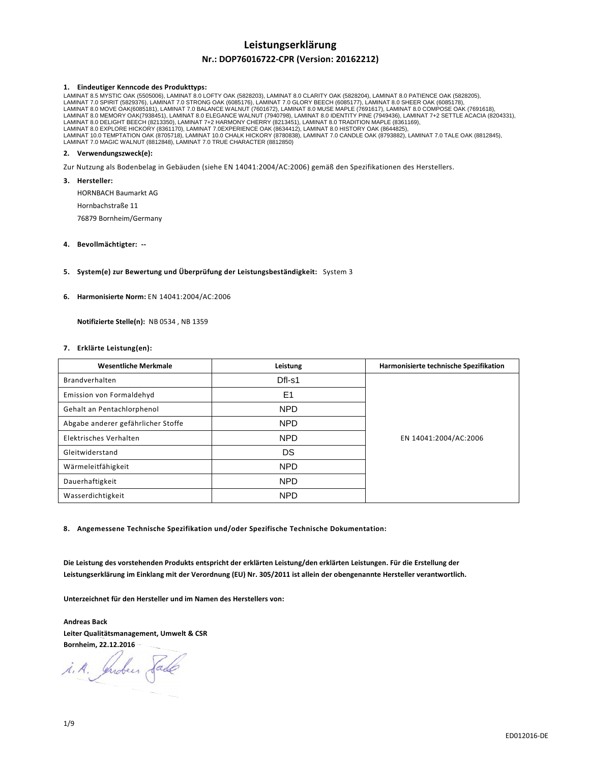# **Leistungserklärung**

# **Nr.: DOP76016722-CPR (Version: 20162212)**

# **1. Eindeutiger Kenncode des Produkttyps:**

LAMINAT 8.5 MYSTIC OAK (5505006), LAMINAT 8.0 LOFTY OAK (5828203), LAMINAT 8.0 CLARITY OAK (5828204), LAMINAT 8.0 PATIENCE OAK (5828205),<br>LAMINAT 7.0 SPIRIT (5829376), LAMINAT 7.0 STRONG OAK (6085176), LAMINAT 7.0 GLORY BE LAMINAT 8.0 MOVE OAK(6085181), LAMINAT 7.0 BALANCE WALNUT (7601672), LAMINAT 8.0 MUSE MAPLE (7691617), LAMINAT 8.0 COMPOSE OAK (7691618),<br>LAMINAT 8.0 MEMORY OAK(7938451), LAMINAT 8.0 ELEGANCE WALNUT (7940798), LAMINAT 8.0 LAMINAT 8.0 EXPLORE HICKORY (8361170), LAMINAT 7.0EXPERIENCE OAK (8634412), LAMINAT 8.0 HISTORY OAK (8644825),<br>LAMINAT 10.0 TEMPTATION OAK (8705718), LAMINAT 10.0 CHALK HICKORY (8780838), LAMINAT 7.0 CANDLE OAK (8793882), LAMINAT 7.0 MAGIC WALNUT (8812848), LAMINAT 7.0 TRUE CHARACTER (8812850)

## **2. Verwendungszweck(e):**

Zur Nutzung als Bodenbelag in Gebäuden (siehe EN 14041:2004/AC:2006) gemäß den Spezifikationen des Herstellers.

**3. Hersteller:** 

HORNBACH Baumarkt AG

Hornbachstraße 11

76879 Bornheim/Germany

# **4. Bevollmächtigter: --**

## **5. System(e) zur Bewertung und Überprüfung der Leistungsbeständigkeit:** System 3

### **6. Harmonisierte Norm:** EN 14041:2004/AC:2006

 **Notifizierte Stelle(n):** NB 0534 , NB 1359

### **7. Erklärte Leistung(en):**

| <b>Wesentliche Merkmale</b>        | Leistung       | Harmonisierte technische Spezifikation |
|------------------------------------|----------------|----------------------------------------|
| Brandverhalten                     | Dfl-s1         |                                        |
| Emission von Formaldehyd           | E <sub>1</sub> |                                        |
| Gehalt an Pentachlorphenol         | <b>NPD</b>     | EN 14041:2004/AC:2006                  |
| Abgabe anderer gefährlicher Stoffe | NPD            |                                        |
| Elektrisches Verhalten             | <b>NPD</b>     |                                        |
| Gleitwiderstand                    | DS             |                                        |
| Wärmeleitfähigkeit                 | <b>NPD</b>     |                                        |
| Dauerhaftigkeit                    | NPD            |                                        |
| Wasserdichtigkeit                  | <b>NPD</b>     |                                        |

**8. Angemessene Technische Spezifikation und/oder Spezifische Technische Dokumentation:** 

**Die Leistung des vorstehenden Produkts entspricht der erklärten Leistung/den erklärten Leistungen. Für die Erstellung der Leistungserklärung im Einklang mit der Verordnung (EU) Nr. 305/2011 ist allein der obengenannte Hersteller verantwortlich.** 

**Unterzeichnet für den Hersteller und im Namen des Herstellers von:** 

**Andreas Back Leiter Qualitätsmanagement, Umwelt & CSR Bornheim, 22.12.2016** 

i.A. Indees Sade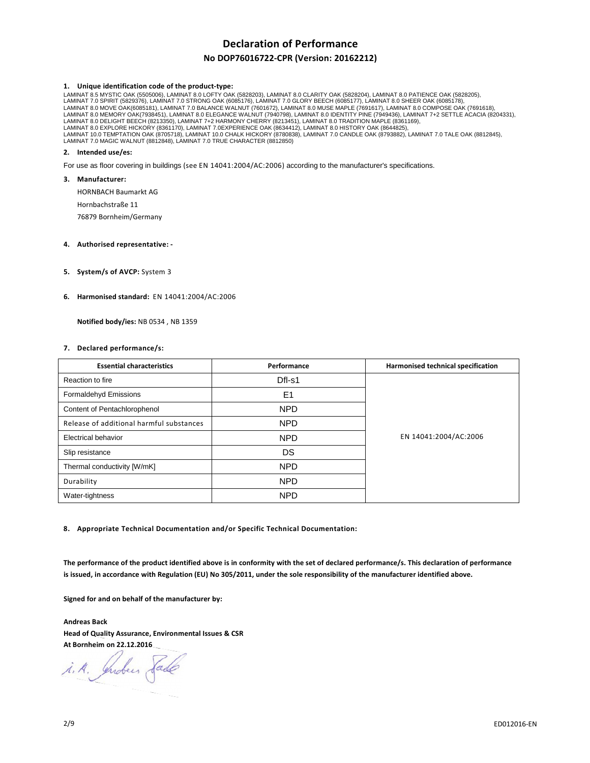# **Declaration of Performance**

# **No DOP76016722-CPR (Version: 20162212)**

### **1. Unique identification code of the product-type:**

LAMINAT 8.5 MYSTIC OAK (5505006), LAMINAT 8.0 LOFTY OAK (5828203), LAMINAT 8.0 CLARITY OAK (5828204), LAMINAT 8.0 PATIENCE OAK (5828205),<br>LAMINAT 7.0 SPIRIT (5829376), LAMINAT 7.0 STRONG OAK (6085176), LAMINAT 7.0 GLORY BE LAMINAT 8.0 DELIGHT BEECH (8213350), LAMINAT 7+2 HARMONY CHERRY (8213451), LAMINAT 8.0 TRADITION MAPLE (8361169),<br>LAMINAT 8.0 EXPLORE HICKORY (8361170), LAMINAT 7.0EXPERIENCE OAK (8634412), LAMINAT 8.0 HISTORY OAK (8644825 LAMINAT 10.0 TEMPTATION OAK (8705718), LAMINAT 10.0 CHALK HICKORY (8780838), LAMINAT 7.0 CANDLE OAK (8793882), LAMINAT 7.0 TALE OAK (8812845),<br>LAMINAT 7.0 MAGIC WALNUT (8812848), LAMINAT 7.0 TRUE CHARACTER (8812850)

# **2. Intended use/es:**

For use as floor covering in buildings (see EN 14041:2004/AC:2006) according to the manufacturer's specifications.

#### **3. Manufacturer:**

HORNBACH Baumarkt AG

Hornbachstraße 11

76879 Bornheim/Germany

## **4. Authorised representative: -**

**5. System/s of AVCP:** System 3

### **6. Harmonised standard:** EN 14041:2004/AC:2006

 **Notified body/ies:** NB 0534 , NB 1359

### **7. Declared performance/s:**

| <b>Essential characteristics</b>         | Performance | Harmonised technical specification |
|------------------------------------------|-------------|------------------------------------|
| Reaction to fire                         | $DfI-S1$    |                                    |
| Formaldehyd Emissions                    | E1          |                                    |
| Content of Pentachlorophenol             | <b>NPD</b>  | EN 14041:2004/AC:2006              |
| Release of additional harmful substances | <b>NPD</b>  |                                    |
| <b>Electrical behavior</b>               | <b>NPD</b>  |                                    |
| Slip resistance                          | DS          |                                    |
| Thermal conductivity [W/mK]              | <b>NPD</b>  |                                    |
| Durability                               | <b>NPD</b>  |                                    |
| Water-tightness                          | <b>NPD</b>  |                                    |

**8. Appropriate Technical Documentation and/or Specific Technical Documentation:** 

**The performance of the product identified above is in conformity with the set of declared performance/s. This declaration of performance is issued, in accordance with Regulation (EU) No 305/2011, under the sole responsibility of the manufacturer identified above.** 

**Signed for and on behalf of the manufacturer by:** 

**Andreas Back Head of Quality Assurance, Environmental Issues & CSR At Bornheim on 22.12.2016** 

i.A. Indees Sade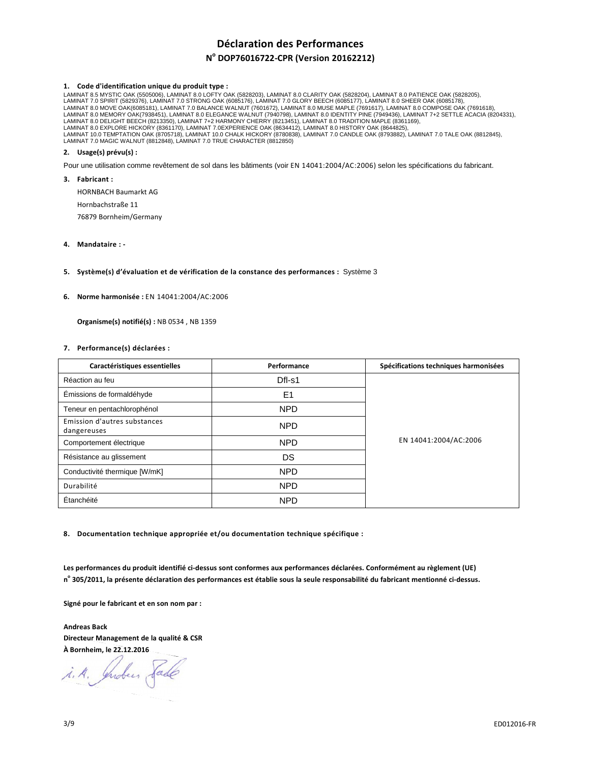# **Déclaration des Performances**

# **N o DOP76016722-CPR (Version 20162212)**

# **1. Code d'identification unique du produit type :**

LAMINAT 8.5 MYSTIC OAK (5505006), LAMINAT 8.0 LOFTY OAK (5828203), LAMINAT 8.0 CLARITY OAK (5828204), LAMINAT 8.0 PATIENCE OAK (5828205),<br>LAMINAT 7.0 SPIRIT (5829376), LAMINAT 7.0 STRONG OAK (6085176), LAMINAT 7.0 GLORY BE LAMINAT 8.0 DELIGHT BEECH (8213350), LAMINAT 7+2 HARMONY CHERRY (8213451), LAMINAT 8.0 TRADITION MAPLE (8361169),<br>LAMINAT 8.0 EXPLORE HICKORY (8361170), LAMINAT 7.0EXPERIENCE OAK (8634412), LAMINAT 8.0 HISTORY OAK (8644825 LAMINAT 10.0 TEMPTATION OAK (8705718), LAMINAT 10.0 CHALK HICKORY (8780838), LAMINAT 7.0 CANDLE OAK (8793882), LAMINAT 7.0 TALE OAK (8812845),<br>LAMINAT 7.0 MAGIC WALNUT (8812848), LAMINAT 7.0 TRUE CHARACTER (8812850)

# **2. Usage(s) prévu(s) :**

Pour une utilisation comme revêtement de sol dans les bâtiments (voir EN 14041:2004/AC:2006) selon les spécifications du fabricant.

**3. Fabricant :** 

HORNBACH Baumarkt AG

Hornbachstraße 11

76879 Bornheim/Germany

# **4. Mandataire : -**

## **5. Système(s) d'évaluation et de vérification de la constance des performances :** Système 3

### **6. Norme harmonisée :** EN 14041:2004/AC:2006

 **Organisme(s) notifié(s) :** NB 0534 , NB 1359

### **7. Performance(s) déclarées :**

| Caractéristiques essentielles               | Performance    | Spécifications techniques harmonisées |
|---------------------------------------------|----------------|---------------------------------------|
| Réaction au feu                             | $DfI-S1$       | EN 14041:2004/AC:2006                 |
| Émissions de formaldéhyde                   | E <sub>1</sub> |                                       |
| Teneur en pentachlorophénol                 | <b>NPD</b>     |                                       |
| Emission d'autres substances<br>dangereuses | <b>NPD</b>     |                                       |
| Comportement électrique                     | <b>NPD</b>     |                                       |
| Résistance au glissement                    | DS             |                                       |
| Conductivité thermique [W/mK]               | <b>NPD</b>     |                                       |
| Durabilité                                  | <b>NPD</b>     |                                       |
| Étanchéité                                  | <b>NPD</b>     |                                       |

**8. Documentation technique appropriée et/ou documentation technique spécifique :** 

**Les performances du produit identifié ci-dessus sont conformes aux performances déclarées. Conformément au règlement (UE) n o 305/2011, la présente déclaration des performances est établie sous la seule responsabilité du fabricant mentionné ci-dessus.** 

**Signé pour le fabricant et en son nom par :** 

**Andreas Back Directeur Management de la qualité & CSR À Bornheim, le 22.12.2016** 

i. A. Juden Sade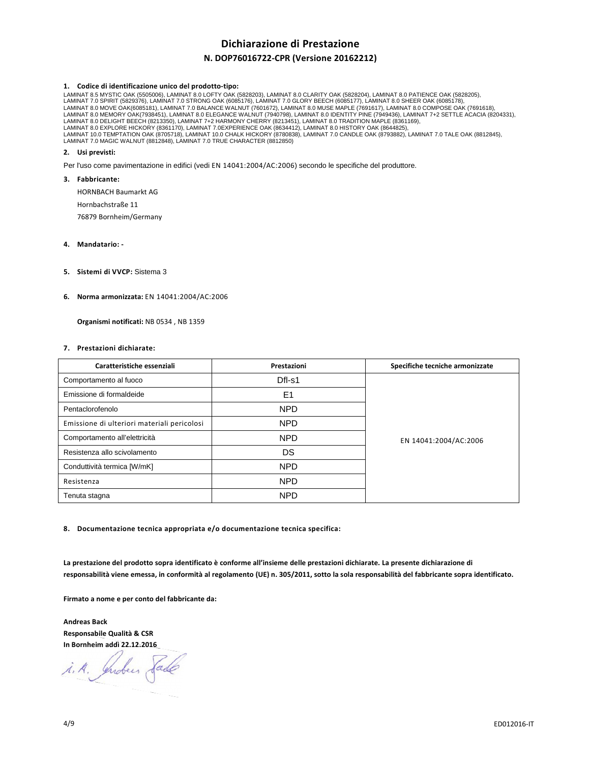# **Dichiarazione di Prestazione**

# **N. DOP76016722-CPR (Versione 20162212)**

### **1. Codice di identificazione unico del prodotto-tipo:**

LAMINAT 8.5 MYSTIC OAK (5505006), LAMINAT 8.0 LOFTY OAK (5828203), LAMINAT 8.0 CLARITY OAK (5828204), LAMINAT 8.0 PATIENCE OAK (5828205),<br>LAMINAT 7.0 SPIRIT (5829376), LAMINAT 7.0 STRONG OAK (6085176), LAMINAT 7.0 GLORY BE LAMINAT 8.0 DELIGHT BEECH (8213350), LAMINAT 7+2 HARMONY CHERRY (8213451), LAMINAT 8.0 TRADITION MAPLE (8361169),<br>LAMINAT 8.0 EXPLORE HICKORY (8361170), LAMINAT 7.0EXPERIENCE OAK (8634412), LAMINAT 8.0 HISTORY OAK (8644825 LAMINAT 10.0 TEMPTATION OAK (8705718), LAMINAT 10.0 CHALK HICKORY (8780838), LAMINAT 7.0 CANDLE OAK (8793882), LAMINAT 7.0 TALE OAK (8812845),<br>LAMINAT 7.0 MAGIC WALNUT (8812848), LAMINAT 7.0 TRUE CHARACTER (8812850)

## **2. Usi previsti:**

Per l'uso come pavimentazione in edifici (vedi EN 14041:2004/AC:2006) secondo le specifiche del produttore.

**3. Fabbricante:** 

HORNBACH Baumarkt AG

Hornbachstraße 11

76879 Bornheim/Germany

- **4. Mandatario:**
- **5. Sistemi di VVCP:** Sistema 3
- **6. Norma armonizzata:** EN 14041:2004/AC:2006

 **Organismi notificati:** NB 0534 , NB 1359

### **7. Prestazioni dichiarate:**

| Caratteristiche essenziali                  | Prestazioni    | Specifiche tecniche armonizzate |
|---------------------------------------------|----------------|---------------------------------|
| Comportamento al fuoco                      | $DfI-S1$       | EN 14041:2004/AC:2006           |
| Emissione di formaldeide                    | E <sub>1</sub> |                                 |
| Pentaclorofenolo                            | <b>NPD</b>     |                                 |
| Emissione di ulteriori materiali pericolosi | <b>NPD</b>     |                                 |
| Comportamento all'elettricità               | <b>NPD</b>     |                                 |
| Resistenza allo scivolamento                | DS             |                                 |
| Conduttività termica [W/mK]                 | <b>NPD</b>     |                                 |
| Resistenza                                  | <b>NPD</b>     |                                 |
| Tenuta stagna                               | <b>NPD</b>     |                                 |

**8. Documentazione tecnica appropriata e/o documentazione tecnica specifica:** 

**La prestazione del prodotto sopra identificato è conforme all'insieme delle prestazioni dichiarate. La presente dichiarazione di responsabilità viene emessa, in conformità al regolamento (UE) n. 305/2011, sotto la sola responsabilità del fabbricante sopra identificato.** 

**Firmato a nome e per conto del fabbricante da:** 

**Andreas Back Responsabile Qualità & CSR In Bornheim addì 22.12.2016**

i.A. Indees Sade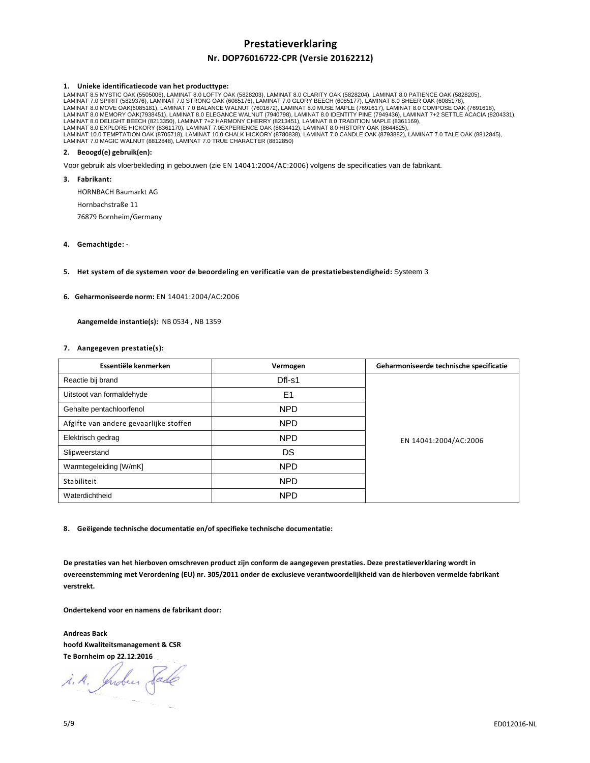# **Prestatieverklaring**

# **Nr. DOP76016722-CPR (Versie 20162212)**

### **1. Unieke identificatiecode van het producttype:**

LAMINAT 8.5 MYSTIC OAK (5505006), LAMINAT 8.0 LOFTY OAK (5828203), LAMINAT 8.0 CLARITY OAK (5828204), LAMINAT 8.0 PATIENCE OAK (5828205),<br>LAMINAT 7.0 SPIRIT (5829376), LAMINAT 7.0 STRONG OAK (6085176), LAMINAT 7.0 GLORY BE LAMINAT 8.0 DELIGHT BEECH (8213350), LAMINAT 7+2 HARMONY CHERRY (8213451), LAMINAT 8.0 TRADITION MAPLE (8361169),<br>LAMINAT 8.0 EXPLORE HICKORY (8361170), LAMINAT 7.0EXPERIENCE OAK (8634412), LAMINAT 8.0 HISTORY OAK (8644825 LAMINAT 10.0 TEMPTATION OAK (8705718), LAMINAT 10.0 CHALK HICKORY (8780838), LAMINAT 7.0 CANDLE OAK (8793882), LAMINAT 7.0 TALE OAK (8812845),<br>LAMINAT 7.0 MAGIC WALNUT (8812848), LAMINAT 7.0 TRUE CHARACTER (8812850)

# **2. Beoogd(e) gebruik(en):**

Voor gebruik als vloerbekleding in gebouwen (zie EN 14041:2004/AC:2006) volgens de specificaties van de fabrikant.

**3. Fabrikant:** 

HORNBACH Baumarkt AG

Hornbachstraße 11

76879 Bornheim/Germany

# **4. Gemachtigde: -**

**5. Het system of de systemen voor de beoordeling en verificatie van de prestatiebestendigheid:** Systeem 3

### **6. Geharmoniseerde norm:** EN 14041:2004/AC:2006

 **Aangemelde instantie(s):** NB 0534 , NB 1359

### **7. Aangegeven prestatie(s):**

| Essentiële kenmerken                   | Vermogen       | Geharmoniseerde technische specificatie |
|----------------------------------------|----------------|-----------------------------------------|
| Reactie bij brand                      | Dfl-s1         | EN 14041:2004/AC:2006                   |
| Uitstoot van formaldehyde              | E <sub>1</sub> |                                         |
| Gehalte pentachloorfenol               | <b>NPD</b>     |                                         |
| Afgifte van andere gevaarlijke stoffen | <b>NPD</b>     |                                         |
| Elektrisch gedrag                      | <b>NPD</b>     |                                         |
| Slipweerstand                          | DS             |                                         |
| Warmtegeleiding [W/mK]                 | <b>NPD</b>     |                                         |
| Stabiliteit                            | <b>NPD</b>     |                                         |
| Waterdichtheid                         | <b>NPD</b>     |                                         |

**8. Geëigende technische documentatie en/of specifieke technische documentatie:** 

**De prestaties van het hierboven omschreven product zijn conform de aangegeven prestaties. Deze prestatieverklaring wordt in overeenstemming met Verordening (EU) nr. 305/2011 onder de exclusieve verantwoordelijkheid van de hierboven vermelde fabrikant verstrekt.** 

**Ondertekend voor en namens de fabrikant door:** 

**Andreas Back hoofd Kwaliteitsmanagement & CSR Te Bornheim op 22.12.2016** 

i.A. Indees Sade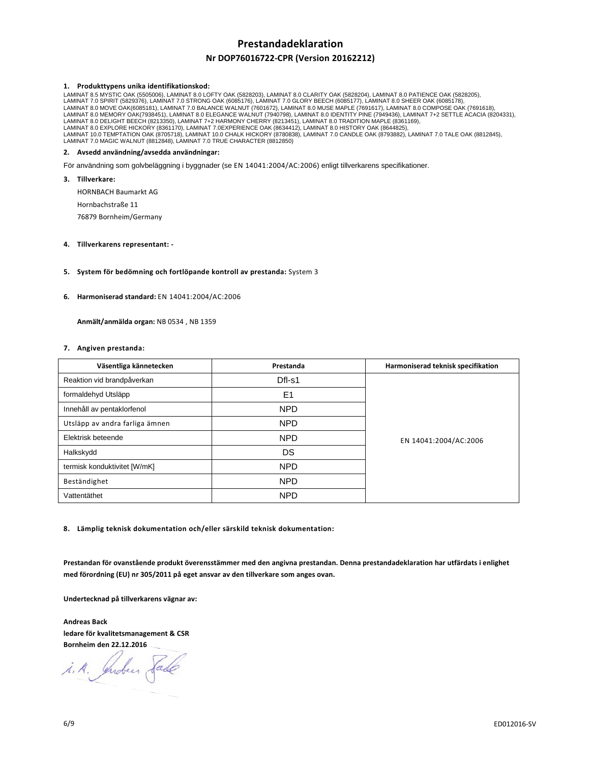# **Prestandadeklaration**

# **Nr DOP76016722-CPR (Version 20162212)**

### **1. Produkttypens unika identifikationskod:**

LAMINAT 8.5 MYSTIC OAK (5505006), LAMINAT 8.0 LOFTY OAK (5828203), LAMINAT 8.0 CLARITY OAK (5828204), LAMINAT 8.0 PATIENCE OAK (5828205),<br>LAMINAT 7.0 SPIRIT (5829376), LAMINAT 7.0 STRONG OAK (6085176), LAMINAT 7.0 GLORY BE LAMINAT 8.0 DELIGHT BEECH (8213350), LAMINAT 7+2 HARMONY CHERRY (8213451), LAMINAT 8.0 TRADITION MAPLE (8361169),<br>LAMINAT 8.0 EXPLORE HICKORY (8361170), LAMINAT 7.0EXPERIENCE OAK (8634412), LAMINAT 8.0 HISTORY OAK (8644825 LAMINAT 10.0 TEMPTATION OAK (8705718), LAMINAT 10.0 CHALK HICKORY (8780838), LAMINAT 7.0 CANDLE OAK (8793882), LAMINAT 7.0 TALE OAK (8812845),<br>LAMINAT 7.0 MAGIC WALNUT (8812848), LAMINAT 7.0 TRUE CHARACTER (8812850)

# **2. Avsedd användning/avsedda användningar:**

För användning som golvbeläggning i byggnader (se EN 14041:2004/AC:2006) enligt tillverkarens specifikationer.

**3. Tillverkare:** 

HORNBACH Baumarkt AG

Hornbachstraße 11

76879 Bornheim/Germany

## **4. Tillverkarens representant: -**

## **5. System för bedömning och fortlöpande kontroll av prestanda:** System 3

### **6. Harmoniserad standard:** EN 14041:2004/AC:2006

 **Anmält/anmälda organ:** NB 0534 , NB 1359

### **7. Angiven prestanda:**

| Väsentliga kännetecken         | Prestanda      | Harmoniserad teknisk specifikation |
|--------------------------------|----------------|------------------------------------|
| Reaktion vid brandpåverkan     | Dfl-s1         | EN 14041:2004/AC:2006              |
| formaldehyd Utsläpp            | E <sub>1</sub> |                                    |
| Innehåll av pentaklorfenol     | <b>NPD</b>     |                                    |
| Utsläpp av andra farliga ämnen | NPD            |                                    |
| Elektrisk beteende             | <b>NPD</b>     |                                    |
| Halkskydd                      | DS             |                                    |
| termisk konduktivitet [W/mK]   | <b>NPD</b>     |                                    |
| Beständighet                   | NPD            |                                    |
| Vattentäthet                   | <b>NPD</b>     |                                    |

**8. Lämplig teknisk dokumentation och/eller särskild teknisk dokumentation:** 

**Prestandan för ovanstående produkt överensstämmer med den angivna prestandan. Denna prestandadeklaration har utfärdats i enlighet med förordning (EU) nr 305/2011 på eget ansvar av den tillverkare som anges ovan.** 

**Undertecknad på tillverkarens vägnar av:** 

**Andreas Back ledare för kvalitetsmanagement & CSR Bornheim den 22.12.2016** 

i.A. Indees Sade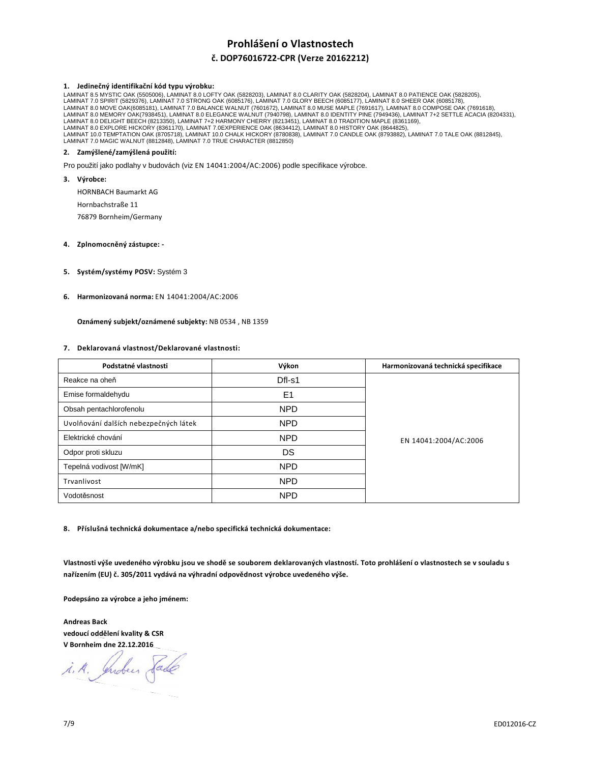# **Prohlášení o Vlastnostech**

# **č. DOP76016722-CPR (Verze 20162212)**

## **1. Jedinečný identifikační kód typu výrobku:**

LAMINAT 8.5 MYSTIC OAK (5505006), LAMINAT 8.0 LOFTY OAK (5828203), LAMINAT 8.0 CLARITY OAK (5828204), LAMINAT 8.0 PATIENCE OAK (5828205),<br>LAMINAT 7.0 SPIRIT (5829376), LAMINAT 7.0 STRONG OAK (6085176), LAMINAT 7.0 GLORY BE LAMINAT 8.0 DELIGHT BEECH (8213350), LAMINAT 7+2 HARMONY CHERRY (8213451), LAMINAT 8.0 TRADITION MAPLE (8361169),<br>LAMINAT 8.0 EXPLORE HICKORY (8361170), LAMINAT 7.0EXPERIENCE OAK (8634412), LAMINAT 8.0 HISTORY OAK (8644825 LAMINAT 10.0 TEMPTATION OAK (8705718), LAMINAT 10.0 CHALK HICKORY (8780838), LAMINAT 7.0 CANDLE OAK (8793882), LAMINAT 7.0 TALE OAK (8812845),<br>LAMINAT 7.0 MAGIC WALNUT (8812848), LAMINAT 7.0 TRUE CHARACTER (8812850)

# **2. Zamýšlené/zamýšlená použití:**

Pro použití jako podlahy v budovách (viz EN 14041:2004/AC:2006) podle specifikace výrobce.

**3. Výrobce:** 

HORNBACH Baumarkt AG

Hornbachstraße 11

76879 Bornheim/Germany

# **4. Zplnomocněný zástupce: -**

- **5. Systém/systémy POSV:** Systém 3
- **6. Harmonizovaná norma:** EN 14041:2004/AC:2006

 **Oznámený subjekt/oznámené subjekty:** NB 0534 , NB 1359

## **7. Deklarovaná vlastnost/Deklarované vlastnosti:**

| Podstatné vlastnosti                  | Výkon      | Harmonizovaná technická specifikace |
|---------------------------------------|------------|-------------------------------------|
| Reakce na oheň                        | Dfl-s1     | EN 14041:2004/AC:2006               |
| Emise formaldehydu                    | E1         |                                     |
| Obsah pentachlorofenolu               | <b>NPD</b> |                                     |
| Uvolňování dalších nebezpečných látek | NPD        |                                     |
| Elektrické chování                    | <b>NPD</b> |                                     |
| Odpor proti skluzu                    | DS         |                                     |
| Tepelná vodivost [W/mK]               | <b>NPD</b> |                                     |
| Trvanlivost                           | NPD        |                                     |
| Vodotěsnost                           | <b>NPD</b> |                                     |

**8. Příslušná technická dokumentace a/nebo specifická technická dokumentace:** 

**Vlastnosti výše uvedeného výrobku jsou ve shodě se souborem deklarovaných vlastností. Toto prohlášení o vlastnostech se v souladu s nařízením (EU) č. 305/2011 vydává na výhradní odpovědnost výrobce uvedeného výše.** 

**Podepsáno za výrobce a jeho jménem:** 

**Andreas Back vedoucí oddělení kvality & CSR V Bornheim dne 22.12.2016** 

i.A. Indees Sade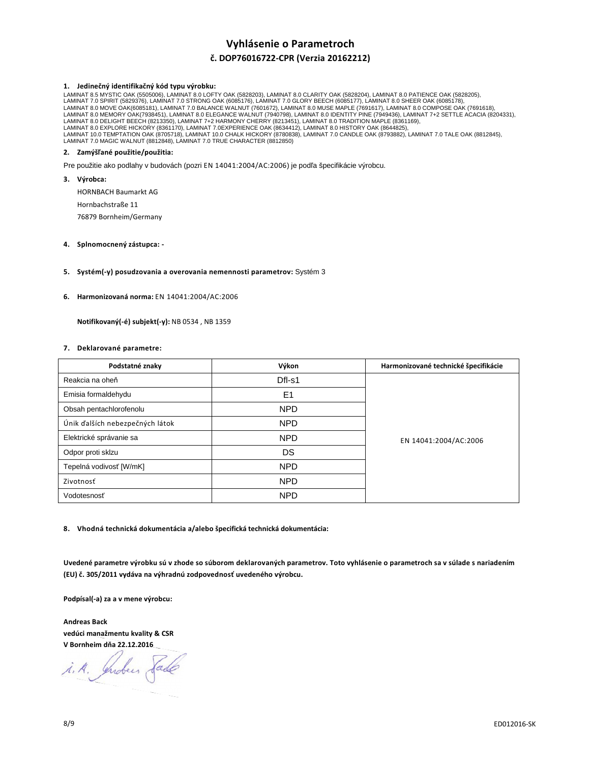# **Vyhlásenie o Parametroch**

# **č. DOP76016722-CPR (Verzia 20162212)**

## **1. Jedinečný identifikačný kód typu výrobku:**

LAMINAT 8.5 MYSTIC OAK (5505006), LAMINAT 8.0 LOFTY OAK (5828203), LAMINAT 8.0 CLARITY OAK (5828204), LAMINAT 8.0 PATIENCE OAK (5828205),<br>LAMINAT 7.0 SPIRIT (5829376), LAMINAT 7.0 STRONG OAK (6085176), LAMINAT 7.0 GLORY BE LAMINAT 8.0 DELIGHT BEECH (8213350), LAMINAT 7+2 HARMONY CHERRY (8213451), LAMINAT 8.0 TRADITION MAPLE (8361169),<br>LAMINAT 8.0 EXPLORE HICKORY (8361170), LAMINAT 7.0EXPERIENCE OAK (8634412), LAMINAT 8.0 HISTORY OAK (8644825 LAMINAT 10.0 TEMPTATION OAK (8705718), LAMINAT 10.0 CHALK HICKORY (8780838), LAMINAT 7.0 CANDLE OAK (8793882), LAMINAT 7.0 TALE OAK (8812845),<br>LAMINAT 7.0 MAGIC WALNUT (8812848), LAMINAT 7.0 TRUE CHARACTER (8812850)

# **2. Zamýšľané použitie/použitia:**

Pre použitie ako podlahy v budovách (pozri EN 14041:2004/AC:2006) je podľa špecifikácie výrobcu.

**3. Výrobca:** 

HORNBACH Baumarkt AG

Hornbachstraße 11

76879 Bornheim/Germany

# **4. Splnomocnený zástupca: -**

## **5. Systém(-y) posudzovania a overovania nemennosti parametrov:** Systém 3

### **6. Harmonizovaná norma:** EN 14041:2004/AC:2006

 **Notifikovaný(-é) subjekt(-y):** NB 0534 , NB 1359

### **7. Deklarované parametre:**

| Podstatné znaky                 | Výkon          | Harmonizované technické špecifikácie |
|---------------------------------|----------------|--------------------------------------|
| Reakcia na oheň                 | Dfl-s1         | EN 14041:2004/AC:2006                |
| Emisia formaldehydu             | E <sub>1</sub> |                                      |
| Obsah pentachlorofenolu         | <b>NPD</b>     |                                      |
| Únik ďalších nebezpečných látok | <b>NPD</b>     |                                      |
| Elektrické správanie sa         | <b>NPD</b>     |                                      |
| Odpor proti sklzu               | DS             |                                      |
| Tepelná vodivosť [W/mK]         | NPD            |                                      |
| Zivotnosť                       | <b>NPD</b>     |                                      |
| Vodotesnosť                     | <b>NPD</b>     |                                      |

**8. Vhodná technická dokumentácia a/alebo špecifická technická dokumentácia:** 

**Uvedené parametre výrobku sú v zhode so súborom deklarovaných parametrov. Toto vyhlásenie o parametroch sa v súlade s nariadením (EU) č. 305/2011 vydáva na výhradnú zodpovednosť uvedeného výrobcu.** 

**Podpísal(-a) za a v mene výrobcu:** 

**Andreas Back vedúci manažmentu kvality & CSR V Bornheim dňa 22.12.2016** 

i.A. Indees Sade